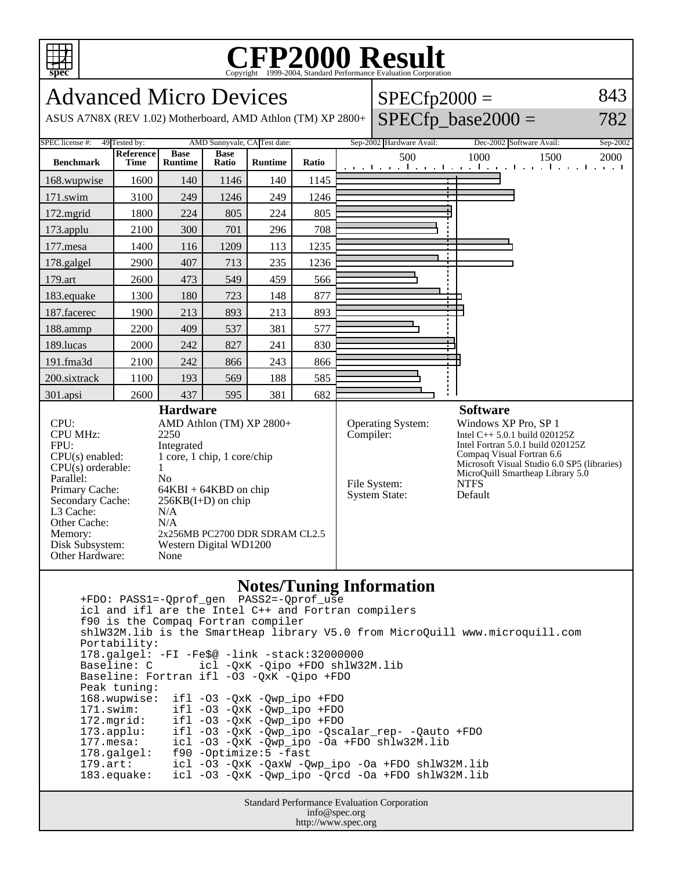

## **CFP2000 Result** Copyright 1999-2004, Standard Performance Evaluation Corporation

Advanced Micro Devices ASUS A7N8X (REV 1.02) Motherboard, AMD Athlon (TM) XP 2800+  $SPECfp2000 =$  $SPECfp\_base2000 =$ 843 782 SPEC license #: 49 Tested by: AMD Sunnyvale, CA Test date: Sep-2002 Hardware Avail: Dec-2002 Software Avail: Sep-2002 **Benchmark Reference Time Base Runtime Base Ratio Runtime Ratio** 500 1000 1500 2000 168.wupwise 1600 140 1146 140 1145 171.swim | 3100 | 249 | 1246 | 249 | 1246 172.mgrid | 1800 | 224 | 805 | 224 | 805 173.applu | 2100 | 300 | 701 | 296 | 708 177. mesa | 1400 | 116 | 1209 | 113 | 1235 178.galgel | 2900 | 407 | 713 | 235 | 1236 179.art | 2600 | 473 | 549 | 459 | 566 183.equake 1300 180 723 148 877 187.facerec | 1900 | 213 | 893 | 213 | 893 188.ammp | 2200 | 409 | 537 | 381 | 577 189.lucas | 2000 | 242 | 827 | 241 | 830 191.fma3d | 2100 | 242 | 866 | 243 | 866 200.sixtrack 1100 193 569 188 585 301.apsi | 2600 | 437 | 595 | 381 | 682 **Hardware** CPU: AMD Athlon (TM) XP 2800+<br>CPU MHz: 2250 CPU MHz: FPU: Integrated CPU(s) enabled: 1 core, 1 chip, 1 core/chip  $CPU(s)$  orderable:  $1$ Parallel: No<br>Primary Cache: 64F  $64KBI + 64KBD$  on chip Secondary Cache:  $256KB(I+D)$  on chip L3 Cache: N/A Other Cache: N/A Memory: 2x256MB PC2700 DDR SDRAM CL2.5 Disk Subsystem: Western Digital WD1200 Other Hardware: None **Software** Operating System: Windows XP Pro, SP 1 Compiler: Intel C++ 5.0.1 build 020125Z Intel Fortran 5.0.1 build 020125Z Compaq Visual Fortran 6.6 Microsoft Visual Studio 6.0 SP5 (libraries) MicroQuill Smartheap Library 5.0<br>NTFS File System: System State: Default

## **Notes/Tuning Information**

 +FDO: PASS1=-Qprof\_gen PASS2=-Qprof\_use icl and ifl are the Intel C++ and Fortran compilers f90 is the Compaq Fortran compiler shlW32M.lib is the SmartHeap library V5.0 from MicroQuill www.microquill.com Portability: 178.galgel: -FI -Fe\$@ -link -stack:32000000 icl -QxK -Qipo +FDO shlW32M.lib Baseline: Fortran ifl -O3 -QxK -Qipo +FDO Peak tuning: 168.wupwise: ifl -O3 -QxK -Qwp\_ipo +FDO 171.swim: ifl -O3 -QxK -Qwp\_ipo +FDO<br>172.mgrid: ifl -O3 -QxK -Qwp\_ipo +FDO 172.mgrid: ifl -O3 -QxK -Qwp\_ipo +FDO 173.applu: ifl -O3 -QxK -Qwp\_ipo -Qscalar\_rep- -Qauto +FDO icl -O3 -QxK -Qwp\_ipo -Oa +FDO shlw32M.lib 178.galgel: f90 -Optimize:5 -fast 179.art: icl -O3 -QxK -QaxW -Qwp\_ipo -Oa +FDO shlW32M.lib 183.equake: icl -O3 -QxK -Qwp\_ipo -Qrcd -Oa +FDO shlW32M.lib

> Standard Performance Evaluation Corporation info@spec.org http://www.spec.org